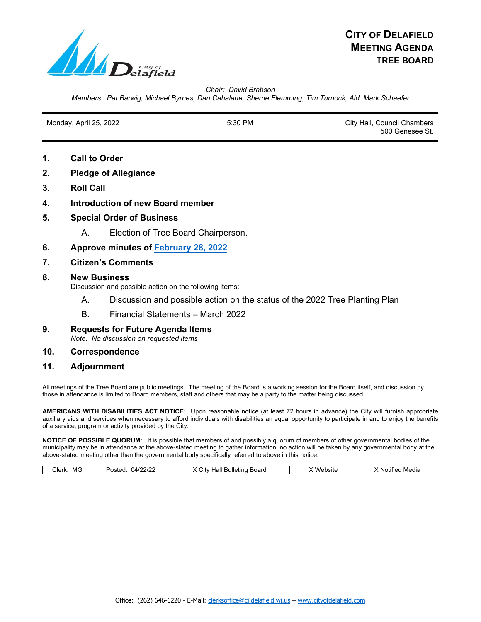

*Chair: David Brabson Members: Pat Barwig, Michael Byrnes, Dan Cahalane, Sherrie Flemming, Tim Turnock, Ald. Mark Schaefer*

Monday, April 25, 2022 **5:30 PM** 5:30 PM City Hall, Council Chambers 500 Genesee St.

- **1. Call to Order**
- **2. Pledge of Allegiance**
- **3. Roll Call**
- **4. Introduction of new Board member**
- **5. Special Order of Business**
	- A. Election of Tree Board Chairperson.
- **6. Approve minutes of [February 28, 2022](https://www.cityofdelafield.com/AgendaCenter/ViewFile/Minutes/_02282022-625)**
- **7. Citizen's Comments**
- **8. New Business**

Discussion and possible action on the following items:

- A. Discussion and possible action on the status of the 2022 Tree Planting Plan
- B. Financial Statements March 2022
- **9. Requests for Future Agenda Items** *Note: No discussion on requested items*

### **10. Correspondence**

**11. Adjournment**

All meetings of the Tree Board are public meetings. The meeting of the Board is a working session for the Board itself, and discussion by those in attendance is limited to Board members, staff and others that may be a party to the matter being discussed.

**AMERICANS WITH DISABILITIES ACT NOTICE:** Upon reasonable notice (at least 72 hours in advance) the City will furnish appropriate auxiliary aids and services when necessary to afford individuals with disabilities an equal opportunity to participate in and to enjoy the benefits of a service, program or activity provided by the City.

**NOTICE OF POSSIBLE QUORUM**: It is possible that members of and possibly a quorum of members of other governmental bodies of the municipality may be in attendance at the above-stated meeting to gather information: no action will be taken by any governmental body at the above-stated meeting other than the governmental body specifically referred to above in this notice.

| MG<br>Clerk: | ימורחו<br>1412.<br>Posted | Hall<br>Board<br>Bulletina<br>' itv | Website | Media<br>Nr<br>)TITI( |
|--------------|---------------------------|-------------------------------------|---------|-----------------------|
|              |                           |                                     |         |                       |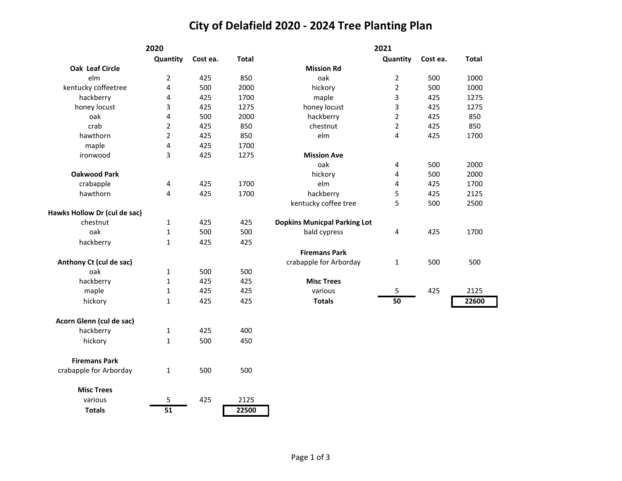# **City of Delafield 2020 - 2024 Tree Planting Plan**

| 2020                         |                 |          | 2021         |                                     |                |          |              |
|------------------------------|-----------------|----------|--------------|-------------------------------------|----------------|----------|--------------|
|                              | Quantity        | Cost ea. | <b>Total</b> |                                     | Quantity       | Cost ea. | <b>Total</b> |
| Oak Leaf Circle              |                 |          |              | <b>Mission Rd</b>                   |                |          |              |
| elm                          | $\overline{2}$  | 425      | 850          | oak                                 | $\overline{2}$ | 500      | 1000         |
| kentucky coffeetree          | 4               | 500      | 2000         | hickory                             | $\overline{2}$ | 500      | 1000         |
| hackberry                    | 4               | 425      | 1700         | maple                               | 3              | 425      | 1275         |
| honey locust                 | 3               | 425      | 1275         | honey locust                        | 3              | 425      | 1275         |
| oak                          | 4               | 500      | 2000         | hackberry                           | $\overline{2}$ | 425      | 850          |
| crab                         | $\overline{2}$  | 425      | 850          | chestnut                            | $\overline{2}$ | 425      | 850          |
| hawthorn                     | $\overline{2}$  | 425      | 850          | elm                                 | 4              | 425      | 1700         |
| maple                        | 4               | 425      | 1700         |                                     |                |          |              |
| ironwood                     | 3               | 425      | 1275         | <b>Mission Ave</b>                  |                |          |              |
|                              |                 |          |              | oak                                 | 4              | 500      | 2000         |
| <b>Oakwood Park</b>          |                 |          |              | hickory                             | 4              | 500      | 2000         |
| crabapple                    | 4               | 425      | 1700         | elm                                 | 4              | 425      | 1700         |
| hawthorn                     | 4               | 425      | 1700         | hackberry                           | 5              | 425      | 2125         |
|                              |                 |          |              | kentucky coffee tree                | 5              | 500      | 2500         |
| Hawks Hollow Dr (cul de sac) |                 |          |              |                                     |                |          |              |
| chestnut                     | 1               | 425      | 425          | <b>Dopkins Municpal Parking Lot</b> |                |          |              |
| oak                          | $\mathbf{1}$    | 500      | 500          | bald cypress                        | $\overline{4}$ | 425      | 1700         |
| hackberry                    | 1               | 425      | 425          |                                     |                |          |              |
|                              |                 |          |              | <b>Firemans Park</b>                |                |          |              |
| Anthony Ct (cul de sac)      |                 |          |              | crabapple for Arborday              | 1              | 500      | 500          |
| oak                          | 1               | 500      | 500          |                                     |                |          |              |
| hackberry                    | 1               | 425      | 425          | <b>Misc Trees</b>                   |                |          |              |
| maple                        | 1               | 425      | 425          | various                             | 5              | 425      | 2125         |
| hickory                      | 1               | 425      | 425          | <b>Totals</b>                       | 50             |          | 22600        |
| Acorn Glenn (cul de sac)     |                 |          |              |                                     |                |          |              |
| hackberry                    | 1               | 425      | 400          |                                     |                |          |              |
| hickory                      | 1               | 500      | 450          |                                     |                |          |              |
| <b>Firemans Park</b>         |                 |          |              |                                     |                |          |              |
| crabapple for Arborday       | 1               | 500      | 500          |                                     |                |          |              |
| <b>Misc Trees</b>            |                 |          |              |                                     |                |          |              |
| various                      | 5               | 425      | 2125         |                                     |                |          |              |
| <b>Totals</b>                | $\overline{51}$ |          | 22500        |                                     |                |          |              |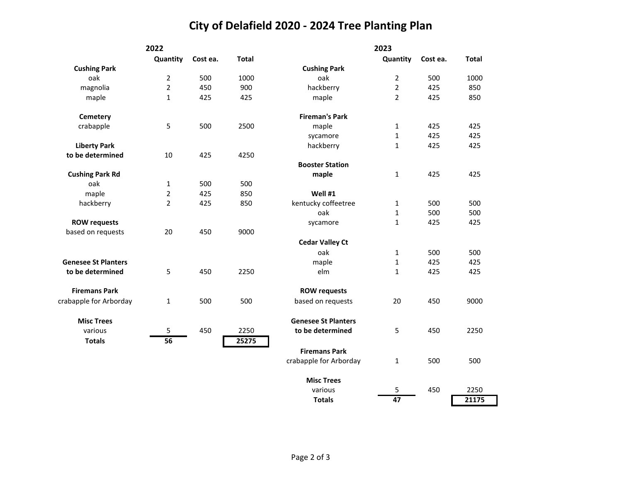# **City of Delafield 2020 - 2024 Tree Planting Plan**

|                            | 2022           |          |              |                            | 2023           |          |              |
|----------------------------|----------------|----------|--------------|----------------------------|----------------|----------|--------------|
|                            | Quantity       | Cost ea. | <b>Total</b> |                            | Quantity       | Cost ea. | <b>Total</b> |
| <b>Cushing Park</b>        |                |          |              | <b>Cushing Park</b>        |                |          |              |
| oak                        | $\overline{2}$ | 500      | 1000         | oak                        | $\overline{2}$ | 500      | 1000         |
| magnolia                   | $\overline{2}$ | 450      | 900          | hackberry                  | $\overline{2}$ | 425      | 850          |
| maple                      | $\mathbf{1}$   | 425      | 425          | maple                      | $\overline{2}$ | 425      | 850          |
| Cemetery                   |                |          |              | <b>Fireman's Park</b>      |                |          |              |
| crabapple                  | 5              | 500      | 2500         | maple                      | $\mathbf{1}$   | 425      | 425          |
|                            |                |          |              | sycamore                   | $\mathbf{1}$   | 425      | 425          |
| <b>Liberty Park</b>        |                |          |              | hackberry                  | $\mathbf{1}$   | 425      | 425          |
| to be determined           | 10             | 425      | 4250         |                            |                |          |              |
|                            |                |          |              | <b>Booster Station</b>     |                |          |              |
| <b>Cushing Park Rd</b>     |                |          |              | maple                      | $\mathbf{1}$   | 425      | 425          |
| oak                        | $\mathbf{1}$   | 500      | 500          |                            |                |          |              |
| maple                      | $\overline{2}$ | 425      | 850          | Well #1                    |                |          |              |
| hackberry                  | $\overline{2}$ | 425      | 850          | kentucky coffeetree        | 1              | 500      | 500          |
|                            |                |          |              | oak                        | $\mathbf{1}$   | 500      | 500          |
| <b>ROW requests</b>        |                |          |              | sycamore                   | $\mathbf{1}$   | 425      | 425          |
| based on requests          | 20             | 450      | 9000         |                            |                |          |              |
|                            |                |          |              | <b>Cedar Valley Ct</b>     |                |          |              |
|                            |                |          |              | oak                        | 1              | 500      | 500          |
| <b>Genesee St Planters</b> |                |          |              | maple                      | 1              | 425      | 425          |
| to be determined           | 5              | 450      | 2250         | elm                        | 1              | 425      | 425          |
| <b>Firemans Park</b>       |                |          |              | <b>ROW requests</b>        |                |          |              |
| crabapple for Arborday     | $\mathbf 1$    | 500      | 500          | based on requests          | 20             | 450      | 9000         |
| <b>Misc Trees</b>          |                |          |              | <b>Genesee St Planters</b> |                |          |              |
| various                    | 5              | 450      | 2250         | to be determined           | 5              | 450      | 2250         |
| <b>Totals</b>              | 56             |          | 25275        |                            |                |          |              |
|                            |                |          |              | <b>Firemans Park</b>       |                |          |              |
|                            |                |          |              | crabapple for Arborday     | $\mathbf{1}$   | 500      | 500          |
|                            |                |          |              | <b>Misc Trees</b>          |                |          |              |
|                            |                |          |              | various                    | 5              | 450      | 2250         |
|                            |                |          |              | <b>Totals</b>              | 47             |          | 21175        |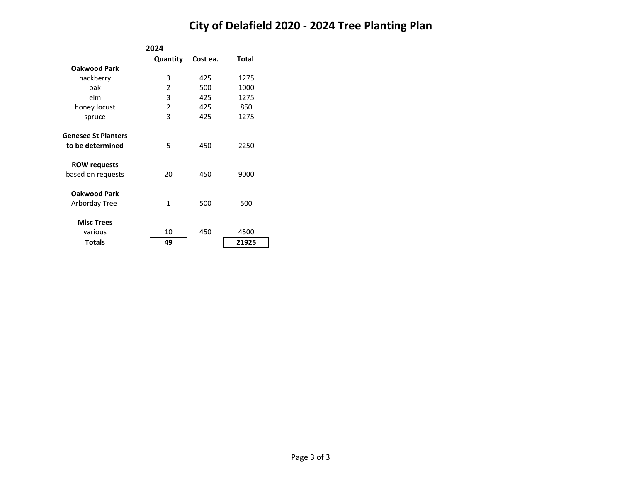# **City of Delafield 2020 - 2024 Tree Planting Plan**

|                            | 2024     |          |       |
|----------------------------|----------|----------|-------|
|                            | Quantity | Cost ea. | Total |
| <b>Oakwood Park</b>        |          |          |       |
| hackberry                  | 3        | 425      | 1275  |
| oak                        | 2        | 500      | 1000  |
| elm                        | 3        | 425      | 1275  |
| honey locust               | 2        | 425      | 850   |
| spruce                     | 3        | 425      | 1275  |
| <b>Genesee St Planters</b> |          |          |       |
| to be determined           | 5        | 450      | 2250  |
| <b>ROW requests</b>        |          |          |       |
| based on requests          | 20       | 450      | 9000  |
| <b>Oakwood Park</b>        |          |          |       |
| Arborday Tree              | 1        | 500      | 500   |
| <b>Misc Trees</b>          |          |          |       |
| various                    | 10       | 450      | 4500  |
| <b>Totals</b>              | 49       |          | 21925 |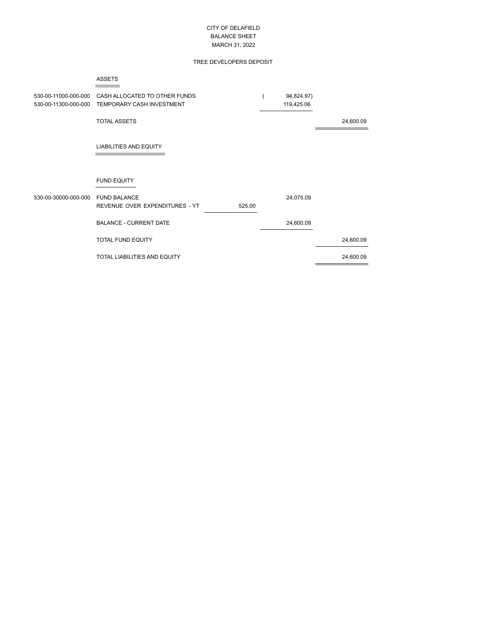### CITY OF DELAFIELD BALANCE SHEET MARCH 31, 2022

#### TREE DEVELOPERS DEPOSIT

#### ASSETS

| 530-00-11000-000-000<br>530-00-11300-000-000 | CASH ALLOCATED TO OTHER FUNDS<br>TEMPORARY CASH INVESTMENT      | 94,824.97)<br>119,425.06 |           |
|----------------------------------------------|-----------------------------------------------------------------|--------------------------|-----------|
|                                              | <b>TOTAL ASSETS</b>                                             |                          | 24,600.09 |
|                                              | <b>LIABILITIES AND EQUITY</b>                                   |                          |           |
|                                              | <b>FUND EQUITY</b>                                              |                          |           |
| 530-00-30000-000-000                         | <b>FUND BALANCE</b><br>REVENUE OVER EXPENDITURES - YT<br>525.00 | 24,075.09                |           |
|                                              | <b>BALANCE - CURRENT DATE</b>                                   | 24,600.09                |           |
|                                              | <b>TOTAL FUND EQUITY</b>                                        |                          | 24,600.09 |
|                                              | <b>TOTAL LIABILITIES AND EQUITY</b>                             |                          | 24,600.09 |